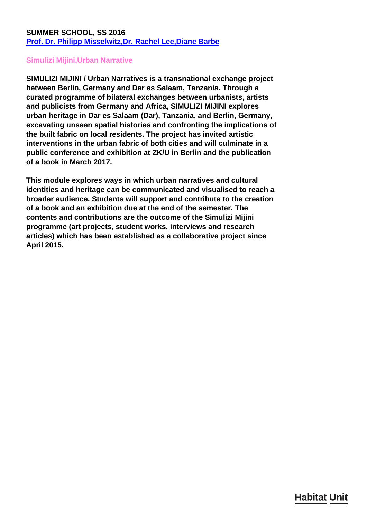## **SUMMER SCHOOL, SS 2016 [Prof. Dr. Philipp Misselwitz,](http://habitat-unit.de/en/team/philipp-misselwitz/)[Dr. Rachel Lee,](http://habitat-unit.de/en/team/rachel-lee/)[Diane Barbe](http://habitat-unit.de/en/team/diane-barbe/)**

## **Simulizi Mijini,Urban Narrative**

**SIMULIZI MIJINI / Urban Narratives is a transnational exchange project between Berlin, Germany and Dar es Salaam, Tanzania. Through a curated programme of bilateral exchanges between urbanists, artists and publicists from Germany and Africa, SIMULIZI MIJINI explores urban heritage in Dar es Salaam (Dar), Tanzania, and Berlin, Germany, excavating unseen spatial histories and confronting the implications of the built fabric on local residents. The project has invited artistic interventions in the urban fabric of both cities and will culminate in a public conference and exhibition at ZK/U in Berlin and the publication of a book in March 2017.**

**This module explores ways in which urban narratives and cultural identities and heritage can be communicated and visualised to reach a broader audience. Students will support and contribute to the creation of a book and an exhibition due at the end of the semester. The contents and contributions are the outcome of the Simulizi Mijini programme (art projects, student works, interviews and research articles) which has been established as a collaborative project since April 2015.**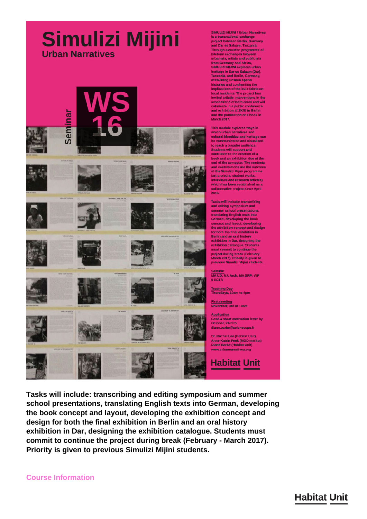## Simulizi Mijini **Urban Narratives**



SIMULIZI MIJINI / Urban Narratives is a transnational exchange project between Berlin, Germany<br>and Dar es Salaam, Tanzania. Through a curated programme of<br>bilateral exchanges between urbanists, artists and publicists from Germany and Africa, SIMULIZI MIJINI explores urban<br>heritage in Dar es Salaam (Dar),<br>Tanzania, and Berlin, Germany, excavating unseen spatial histories and confronting the<br>implications of the built fabric on local residents. The project has<br>invited artistic interventions in the urban fabric of both cities and will culminate in a public conference<br>and exhibition at ZK/U in Berlin<br>and the publication of a book in **March 2017** 

This module explores ways in which urban narratives and cultural identities and heritage can be communicated and visualised to reach a broader audience. Students will support and<br>contribute to the creation of a book and an exhibition due at the<br>end of the semester. The contents and contributions are the outcome<br>of the Simulizi Mijini programme (art projects, student works, interviews and research articles) which has been established as a collaborative project since April 2015.

Tasks will include: transcribing<br>and editing symposium and summer school presentations,<br>translating English texts into German, developing the book comment and layout, developing<br>the exhibition concept and design<br>for both the final exhibition in Berlin and an oral history<br>exhibition in Dar, designing the exhibition catalogue. Students<br>must commit to continue the project during break (February -<br>March 2017). Priority is given to<br>previous Simulizi Mijini students.

Seminar<br>MA UD, MA Arch, MA SRP: WP **6 ECTS** 

Teaching Day<br>Thursdays, 10am to 4pm

First meeting<br>November, 3rd at 10am

Send a short motivation letter by October, 23rd to diane.barbe@sciencespo.fr

Dr. Rachel Lee (Habitat Unit) Anne-Katrin Fenk (MOD Institut)<br>Diane Barbé (Habitat Unit) www.urbannarratives.org

**Habitat Unit** 

Tasks will include: transcribing and editing symposium and summer school presentations, translating English texts into German, developing the book concept and layout, developing the exhibition concept and design for both the final exhibition in Berlin and an oral history exhibition in Dar, designing the exhibition catalogue. Students must commit to continue the project during break (February - March 2017). Priority is given to previous Simulizi Mijini students.

## **Habitat Unit**